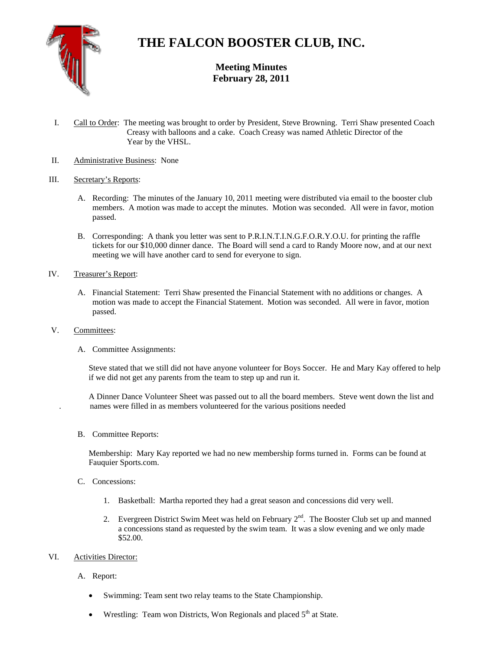

# **THE FALCON BOOSTER CLUB, INC.**

**Meeting Minutes February 28, 2011** 

- I. Call to Order: The meeting was brought to order by President, Steve Browning. Terri Shaw presented Coach Creasy with balloons and a cake. Coach Creasy was named Athletic Director of the Year by the VHSL.
- II. Administrative Business: None

## III. Secretary's Reports:

- A. Recording: The minutes of the January 10, 2011 meeting were distributed via email to the booster club members. A motion was made to accept the minutes. Motion was seconded. All were in favor, motion passed.
- B. Corresponding: A thank you letter was sent to P.R.I.N.T.I.N.G.F.O.R.Y.O.U. for printing the raffle tickets for our \$10,000 dinner dance. The Board will send a card to Randy Moore now, and at our next meeting we will have another card to send for everyone to sign.
- IV. Treasurer's Report:
	- A. Financial Statement: Terri Shaw presented the Financial Statement with no additions or changes. A motion was made to accept the Financial Statement. Motion was seconded. All were in favor, motion passed.
- V. Committees:
	- A. Committee Assignments:

Steve stated that we still did not have anyone volunteer for Boys Soccer. He and Mary Kay offered to help if we did not get any parents from the team to step up and run it.

 A Dinner Dance Volunteer Sheet was passed out to all the board members. Steve went down the list and . names were filled in as members volunteered for the various positions needed

B. Committee Reports:

Membership: Mary Kay reported we had no new membership forms turned in. Forms can be found at Fauquier Sports.com.

- C. Concessions:
	- 1. Basketball: Martha reported they had a great season and concessions did very well.
	- 2. Evergreen District Swim Meet was held on February  $2<sup>nd</sup>$ . The Booster Club set up and manned a concessions stand as requested by the swim team. It was a slow evening and we only made \$52.00.

### VI. Activities Director:

- A. Report:
	- Swimming: Team sent two relay teams to the State Championship.
	- Wrestling: Team won Districts, Won Regionals and placed  $5<sup>th</sup>$  at State.